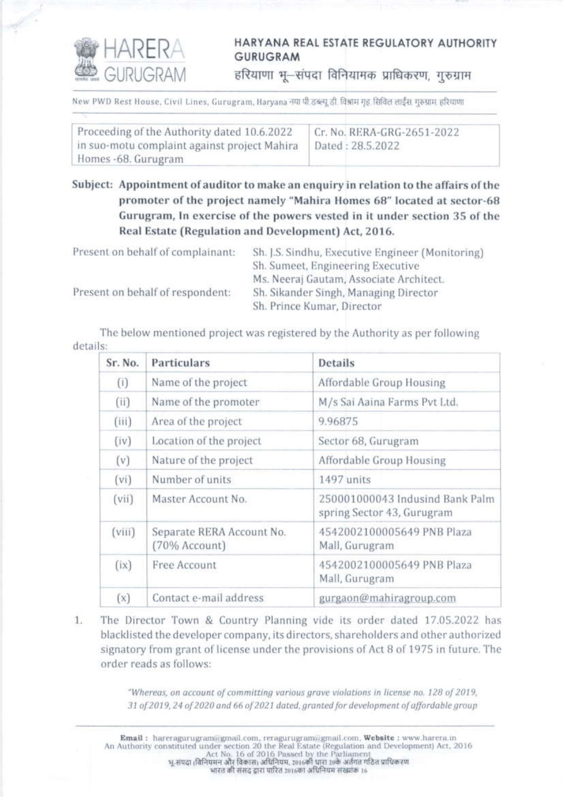

## HARYANA REAL ESTATE REGULATORY AUTHORITY **GURUGRAM**

हरियाणा भू-संपदा विनियामक प्राधिकरण, गुरुग्राम

New PWD Rest House, Civil Lines, Gurugram, Harvana नया पी डब्ल्यू डी. विश्राम गृह, सिविल लाईस गुरुग्राम हरियाणा

| Proceeding of the Authority dated 10.6.2022  | Cr. No. RERA-GRG-2651-2022 |
|----------------------------------------------|----------------------------|
| in suo-motu complaint against project Mahira | Dated: 28.5.2022           |
| Homes -68. Gurugram                          |                            |

Subject: Appointment of auditor to make an enquiry in relation to the affairs of the promoter of the project namely "Mahira Homes 68" located at sector-68 Gurugram, In exercise of the powers vested in it under section 35 of the Real Estate (Regulation and Development) Act, 2016.

| Present on behalf of complainant: | Sh. J.S. Sindhu, Executive Engineer (Monitoring) |
|-----------------------------------|--------------------------------------------------|
|                                   | Sh. Sumeet, Engineering Executive                |
|                                   | Ms. Neeraj Gautam, Associate Architect.          |
| Present on behalf of respondent:  | Sh. Sikander Singh, Managing Director            |
|                                   | Sh. Prince Kumar, Director                       |

The below mentioned project was registered by the Authority as per following details:

| Sr. No. | Particulars                                | <b>Details</b>                                                |
|---------|--------------------------------------------|---------------------------------------------------------------|
| (i)     | Name of the project                        | Affordable Group Housing                                      |
| (ii)    | Name of the promoter                       | M/s Sai Aaina Farms Pvt Ltd.                                  |
| (iii)   | Area of the project                        | 9.96875                                                       |
| (iv)    | Location of the project                    | Sector 68, Gurugram                                           |
| (v)     | Nature of the project                      | Affordable Group Housing                                      |
| (vi)    | Number of units                            | 1497 units                                                    |
| (vii)   | Master Account No.                         | 250001000043 Indusind Bank Palm<br>spring Sector 43, Gurugram |
| (viii)  | Separate RERA Account No.<br>(70% Account) | 4542002100005649 PNB Plaza<br>Mall, Gurugram                  |
| (ix)    | Free Account                               | 4542002100005649 PNB Plaza<br>Mall, Gurugram                  |
| (x)     | Contact e-mail address                     | gurgaon@mahiragroup.com                                       |

The Director Town & Country Planning vide its order dated 17.05.2022 has 1. blacklisted the developer company, its directors, shareholders and other authorized signatory from grant of license under the provisions of Act 8 of 1975 in future. The order reads as follows:

> "Whereas, on account of committing various grave violations in license no. 128 of 2019, 31 of 2019, 24 of 2020 and 66 of 2021 dated, granted for development of affordable group

Email: hareragurugram@gmail.com, reragurugram@gmail.com, Website: www.harera.in An Authority constituted under section 20 the Real Estate (Regulation and Development) Act, 2016<br>Act No. 16 of 2016 Passed by the Parliament<br>भू-संपद्म (विनियमन और विकास) अधिनियम, 2016की धारा 20के अर्तगत गठित प्राधिकरण भारत की संसद द्वारा पारित 2016का अधिनियम संख्यांक 16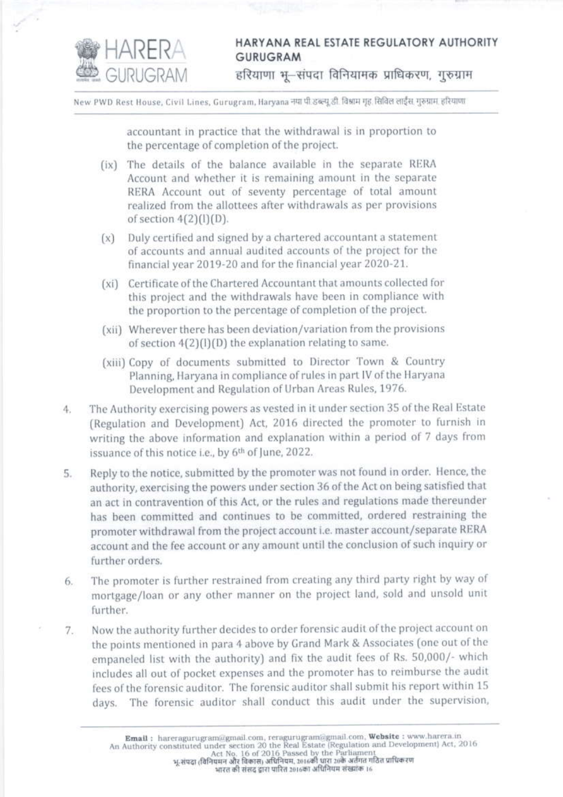

## HARYANA REAL ESTATE REGULATORY AUTHORITY **GURUGRAM**

हरियाणा भू-संपदा विनियामक प्राधिकरण, गुरुग्राम

New PWD Rest House, Civil Lines, Gurugram, Haryana नया पी.डब्ल्यू.डी. विश्वाम गृह. सिविल लाईंस. गुरुग्राम. हरियाणा

accountant in practice that the withdrawal is in proportion to the percentage of completion of the project.

- (ix) The details of the balance available in the separate RERA Account and whether it is remaining amount in the separate RERA Account out of seventy percentage of total amount realized from the allottees after withdrawals as per provisions of section  $4(2)(1)(D)$ .
- $(x)$  Duly certified and signed by a chartered accountant a statement of accounts and annual audited accounts of the project for the financial year 2019-20 and for the financial year 2020-21.
- (xi) Certificate of the Chartered Accountant that amounts collected for this project and the withdrawals have been in compliance with the proportion to the percentage of completion of the project.
- (xii) Wherever there has been deviation/variation from the provisions of section  $4(2)(1)(D)$  the explanation relating to same.
- (xiii) Copy of documents submitted to Director Town & Country Planning, Haryana in compliance of rules in part IV of the Haryana Development and Regulation of Urban Areas Rules, 1976.
- The Authority exercising powers as vested in it under section 35 of the Real Estate 4. (Regulation and Development) Act, 2016 directed the promoter to furnish in writing the above information and explanation within a period of 7 days from issuance of this notice i.e., by 6th of June, 2022.
- Reply to the notice, submitted by the promoter was not found in order. Hence, the 5. authority, exercising the powers under section 36 of the Act on being satisfied that an act in contravention of this Act, or the rules and regulations made thereunder has been committed and continues to be committed, ordered restraining the promoter withdrawal from the project account i.e. master account/separate RERA account and the fee account or any amount until the conclusion of such inquiry or further orders.
- The promoter is further restrained from creating any third party right by way of 6. mortgage/loan or any other manner on the project land, sold and unsold unit further.
- Now the authority further decides to order forensic audit of the project account on 7. the points mentioned in para 4 above by Grand Mark & Associates (one out of the empaneled list with the authority) and fix the audit fees of Rs. 50,000/- which includes all out of pocket expenses and the promoter has to reimburse the audit fees of the forensic auditor. The forensic auditor shall submit his report within 15 days. The forensic auditor shall conduct this audit under the supervision,